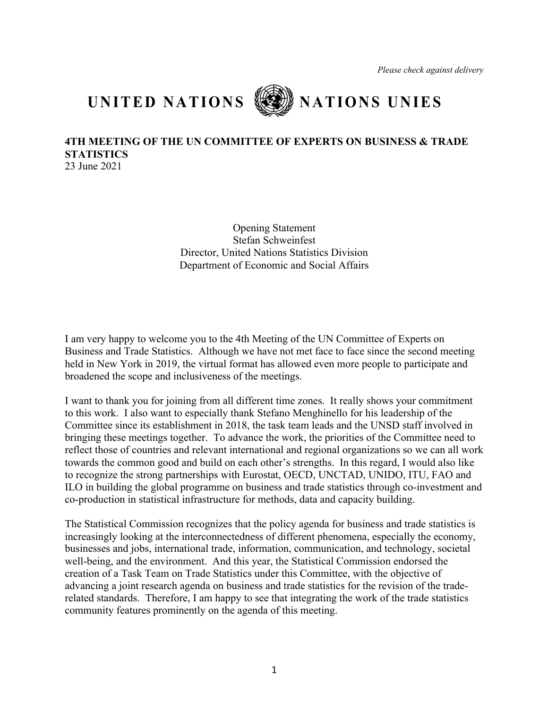## **UNITED NATIONS NATIONS UNIES**



## **4TH MEETING OF THE UN COMMITTEE OF EXPERTS ON BUSINESS & TRADE STATISTICS**

23 June 2021

Opening Statement Stefan Schweinfest Director, United Nations Statistics Division Department of Economic and Social Affairs

I am very happy to welcome you to the 4th Meeting of the UN Committee of Experts on Business and Trade Statistics. Although we have not met face to face since the second meeting held in New York in 2019, the virtual format has allowed even more people to participate and broadened the scope and inclusiveness of the meetings.

I want to thank you for joining from all different time zones. It really shows your commitment to this work. I also want to especially thank Stefano Menghinello for his leadership of the Committee since its establishment in 2018, the task team leads and the UNSD staff involved in bringing these meetings together. To advance the work, the priorities of the Committee need to reflect those of countries and relevant international and regional organizations so we can all work towards the common good and build on each other's strengths. In this regard, I would also like to recognize the strong partnerships with Eurostat, OECD, UNCTAD, UNIDO, ITU, FAO and ILO in building the global programme on business and trade statistics through co-investment and co-production in statistical infrastructure for methods, data and capacity building.

The Statistical Commission recognizes that the policy agenda for business and trade statistics is increasingly looking at the interconnectedness of different phenomena, especially the economy, businesses and jobs, international trade, information, communication, and technology, societal well-being, and the environment. And this year, the Statistical Commission endorsed the creation of a Task Team on Trade Statistics under this Committee, with the objective of advancing a joint research agenda on business and trade statistics for the revision of the traderelated standards. Therefore, I am happy to see that integrating the work of the trade statistics community features prominently on the agenda of this meeting.